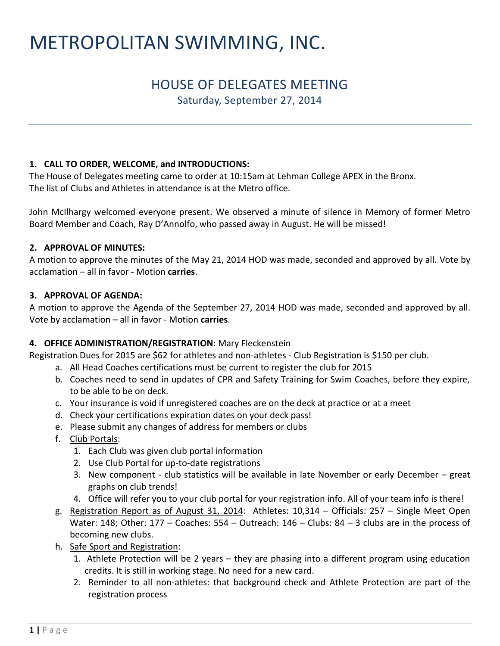# METROPOLITAN SWIMMING, INC.

## HOUSE OF DELEGATES MEETING Saturday, September 27, 2014

#### **1. CALL TO ORDER, WELCOME, and INTRODUCTIONS:**

The House of Delegates meeting came to order at 10:15am at Lehman College APEX in the Bronx. The list of Clubs and Athletes in attendance is at the Metro office.

John McIlhargy welcomed everyone present. We observed a minute of silence in Memory of former Metro Board Member and Coach, Ray D'Annolfo, who passed away in August. He will be missed!

#### **2. APPROVAL OF MINUTES:**

A motion to approve the minutes of the May 21, 2014 HOD was made, seconded and approved by all. Vote by acclamation – all in favor - Motion **carries**.

#### **3. APPROVAL OF AGENDA:**

A motion to approve the Agenda of the September 27, 2014 HOD was made, seconded and approved by all. Vote by acclamation – all in favor - Motion **carries**.

#### **4. OFFICE ADMINISTRATION/REGISTRATION**: Mary Fleckenstein

Registration Dues for 2015 are \$62 for athletes and non-athletes - Club Registration is \$150 per club.

- a. All Head Coaches certifications must be current to register the club for 2015
- b. Coaches need to send in updates of CPR and Safety Training for Swim Coaches, before they expire, to be able to be on deck.
- c. Your insurance is void if unregistered coaches are on the deck at practice or at a meet
- d. Check your certifications expiration dates on your deck pass!
- e. Please submit any changes of address for members or clubs
- f. Club Portals:
	- 1. Each Club was given club portal information
	- 2. Use Club Portal for up-to-date registrations
	- 3. New component club statistics will be available in late November or early December great graphs on club trends!
	- 4. Office will refer you to your club portal for your registration info. All of your team info is there!
- g. Registration Report as of August 31, 2014: Athletes: 10,314 Officials: 257 Single Meet Open Water: 148; Other: 177 – Coaches: 554 – Outreach: 146 – Clubs: 84 – 3 clubs are in the process of becoming new clubs.
- h. Safe Sport and Registration:
	- 1. Athlete Protection will be 2 years they are phasing into a different program using education credits. It is still in working stage. No need for a new card.
	- 2. Reminder to all non-athletes: that background check and Athlete Protection are part of the registration process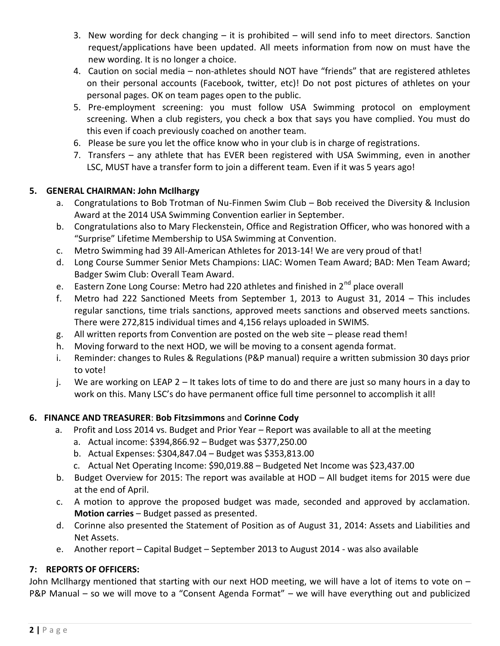- 3. New wording for deck changing it is prohibited will send info to meet directors. Sanction request/applications have been updated. All meets information from now on must have the new wording. It is no longer a choice.
- 4. Caution on social media non-athletes should NOT have "friends" that are registered athletes on their personal accounts (Facebook, twitter, etc)! Do not post pictures of athletes on your personal pages. OK on team pages open to the public.
- 5. Pre-employment screening: you must follow USA Swimming protocol on employment screening. When a club registers, you check a box that says you have complied. You must do this even if coach previously coached on another team.
- 6. Please be sure you let the office know who in your club is in charge of registrations.
- 7. Transfers any athlete that has EVER been registered with USA Swimming, even in another LSC, MUST have a transfer form to join a different team. Even if it was 5 years ago!

### **5. GENERAL CHAIRMAN: John McIlhargy**

- a. Congratulations to Bob Trotman of Nu-Finmen Swim Club Bob received the Diversity & Inclusion Award at the 2014 USA Swimming Convention earlier in September.
- b. Congratulations also to Mary Fleckenstein, Office and Registration Officer, who was honored with a "Surprise" Lifetime Membership to USA Swimming at Convention.
- c. Metro Swimming had 39 All-American Athletes for 2013-14! We are very proud of that!
- d. Long Course Summer Senior Mets Champions: LIAC: Women Team Award; BAD: Men Team Award; Badger Swim Club: Overall Team Award.
- e. Eastern Zone Long Course: Metro had 220 athletes and finished in 2<sup>nd</sup> place overall
- f. Metro had 222 Sanctioned Meets from September 1, 2013 to August 31, 2014 This includes regular sanctions, time trials sanctions, approved meets sanctions and observed meets sanctions. There were 272,815 individual times and 4,156 relays uploaded in SWIMS.
- g. All written reports from Convention are posted on the web site please read them!
- h. Moving forward to the next HOD, we will be moving to a consent agenda format.
- i. Reminder: changes to Rules & Regulations (P&P manual) require a written submission 30 days prior to vote!
- j. We are working on LEAP 2 It takes lots of time to do and there are just so many hours in a day to work on this. Many LSC's do have permanent office full time personnel to accomplish it all!

## **6. FINANCE AND TREASURER**: **Bob Fitzsimmons** and **Corinne Cody**

- a. Profit and Loss 2014 vs. Budget and Prior Year Report was available to all at the meeting
	- a. Actual income: \$394,866.92 Budget was \$377,250.00
	- b. Actual Expenses: \$304,847.04 Budget was \$353,813.00
	- c. Actual Net Operating Income: \$90,019.88 Budgeted Net Income was \$23,437.00
- b. Budget Overview for 2015: The report was available at HOD All budget items for 2015 were due at the end of April.
- c. A motion to approve the proposed budget was made, seconded and approved by acclamation. **Motion carries** – Budget passed as presented.
- d. Corinne also presented the Statement of Position as of August 31, 2014: Assets and Liabilities and Net Assets.
- e. Another report Capital Budget September 2013 to August 2014 was also available

## **7: REPORTS OF OFFICERS:**

John McIlhargy mentioned that starting with our next HOD meeting, we will have a lot of items to vote on – P&P Manual – so we will move to a "Consent Agenda Format" – we will have everything out and publicized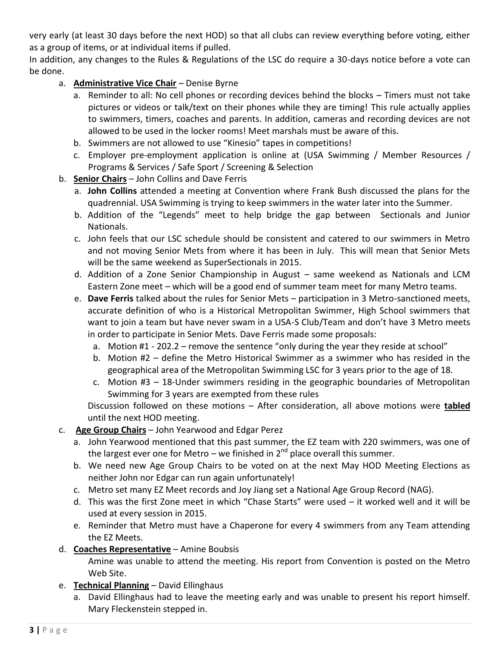very early (at least 30 days before the next HOD) so that all clubs can review everything before voting, either as a group of items, or at individual items if pulled.

In addition, any changes to the Rules & Regulations of the LSC do require a 30-days notice before a vote can be done.

#### a. **Administrative Vice Chair** – Denise Byrne

- a. Reminder to all: No cell phones or recording devices behind the blocks Timers must not take pictures or videos or talk/text on their phones while they are timing! This rule actually applies to swimmers, timers, coaches and parents. In addition, cameras and recording devices are not allowed to be used in the locker rooms! Meet marshals must be aware of this.
- b. Swimmers are not allowed to use "Kinesio" tapes in competitions!
- c. Employer pre-employment application is online at (USA Swimming / Member Resources / Programs & Services / Safe Sport / Screening & Selection
- b. **Senior Chairs** John Collins and Dave Ferris
	- a. **John Collins** attended a meeting at Convention where Frank Bush discussed the plans for the quadrennial. USA Swimming is trying to keep swimmers in the water later into the Summer.
	- b. Addition of the "Legends" meet to help bridge the gap between Sectionals and Junior Nationals.
	- c. John feels that our LSC schedule should be consistent and catered to our swimmers in Metro and not moving Senior Mets from where it has been in July. This will mean that Senior Mets will be the same weekend as SuperSectionals in 2015.
	- d. Addition of a Zone Senior Championship in August same weekend as Nationals and LCM Eastern Zone meet – which will be a good end of summer team meet for many Metro teams.
	- e. **Dave Ferris** talked about the rules for Senior Mets participation in 3 Metro-sanctioned meets, accurate definition of who is a Historical Metropolitan Swimmer, High School swimmers that want to join a team but have never swam in a USA-S Club/Team and don't have 3 Metro meets in order to participate in Senior Mets. Dave Ferris made some proposals:
		- a. Motion #1 202.2 remove the sentence "only during the year they reside at school"
		- b. Motion #2 define the Metro Historical Swimmer as a swimmer who has resided in the geographical area of the Metropolitan Swimming LSC for 3 years prior to the age of 18.
		- c. Motion #3 18-Under swimmers residing in the geographic boundaries of Metropolitan Swimming for 3 years are exempted from these rules

Discussion followed on these motions – After consideration, all above motions were **tabled** until the next HOD meeting.

- c. **Age Group Chairs** John Yearwood and Edgar Perez
	- a. John Yearwood mentioned that this past summer, the EZ team with 220 swimmers, was one of the largest ever one for Metro – we finished in  $2<sup>nd</sup>$  place overall this summer.
	- b. We need new Age Group Chairs to be voted on at the next May HOD Meeting Elections as neither John nor Edgar can run again unfortunately!
	- c. Metro set many EZ Meet records and Joy Jiang set a National Age Group Record (NAG).
	- d. This was the first Zone meet in which "Chase Starts" were used it worked well and it will be used at every session in 2015.
	- e. Reminder that Metro must have a Chaperone for every 4 swimmers from any Team attending the EZ Meets.
- d. **Coaches Representative** Amine Boubsis

Amine was unable to attend the meeting. His report from Convention is posted on the Metro Web Site.

- e. **Technical Planning** David Ellinghaus
	- a. David Ellinghaus had to leave the meeting early and was unable to present his report himself. Mary Fleckenstein stepped in.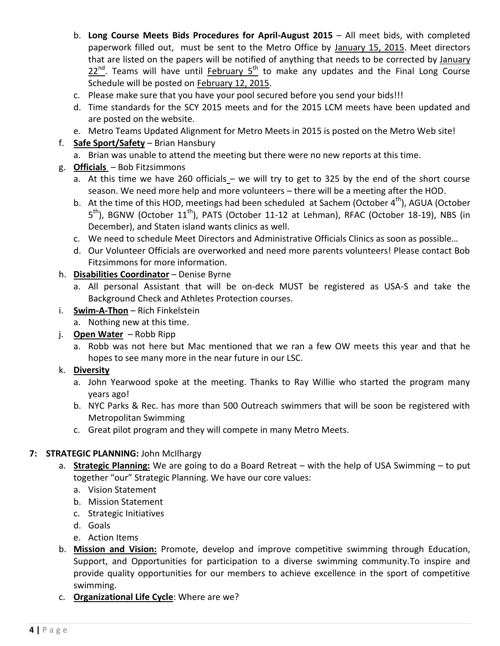- b. Long Course Meets Bids Procedures for April-August 2015 All meet bids, with completed paperwork filled out, must be sent to the Metro Office by January 15, 2015. Meet directors that are listed on the papers will be notified of anything that needs to be corrected by January  $22^{nd}$ . Teams will have until February 5<sup>th</sup> to make any updates and the Final Long Course Schedule will be posted on February 12, 2015.
- c. Please make sure that you have your pool secured before you send your bids!!!
- d. Time standards for the SCY 2015 meets and for the 2015 LCM meets have been updated and are posted on the website.
- e. Metro Teams Updated Alignment for Metro Meets in 2015 is posted on the Metro Web site!
- f. **Safe Sport/Safety** Brian Hansbury
	- a. Brian was unable to attend the meeting but there were no new reports at this time.
- g. **Officials**  Bob Fitzsimmons
	- a. At this time we have 260 officials we will try to get to 325 by the end of the short course season. We need more help and more volunteers – there will be a meeting after the HOD.
	- b. At the time of this HOD, meetings had been scheduled at Sachem (October 4<sup>th</sup>), AGUA (October 5<sup>th</sup>), BGNW (October 11<sup>th</sup>), PATS (October 11-12 at Lehman), RFAC (October 18-19), NBS (in December), and Staten island wants clinics as well.
	- c. We need to schedule Meet Directors and Administrative Officials Clinics as soon as possible…
	- d. Our Volunteer Officials are overworked and need more parents volunteers! Please contact Bob Fitzsimmons for more information.

#### h. **Disabilities Coordinator** – Denise Byrne

- a. All personal Assistant that will be on-deck MUST be registered as USA-S and take the Background Check and Athletes Protection courses.
- i. **Swim-A-Thon** Rich Finkelstein
	- a. Nothing new at this time.
- j. **Open Water** Robb Ripp
	- a. Robb was not here but Mac mentioned that we ran a few OW meets this year and that he hopes to see many more in the near future in our LSC.

#### k. **Diversity**

- a. John Yearwood spoke at the meeting. Thanks to Ray Willie who started the program many years ago!
- b. NYC Parks & Rec. has more than 500 Outreach swimmers that will be soon be registered with Metropolitan Swimming
- c. Great pilot program and they will compete in many Metro Meets.

#### **7: STRATEGIC PLANNING:** John McIlhargy

- a. **Strategic Planning:** We are going to do a Board Retreat with the help of USA Swimming to put together "our" Strategic Planning. We have our core values:
	- a. Vision Statement
	- b. Mission Statement
	- c. Strategic Initiatives
	- d. Goals
	- e. Action Items
- b. **Mission and Vision:** Promote, develop and improve competitive swimming through Education, Support, and Opportunities for participation to a diverse swimming community.To inspire and provide quality opportunities for our members to achieve excellence in the sport of competitive swimming.
- c. **Organizational Life Cycle**: Where are we?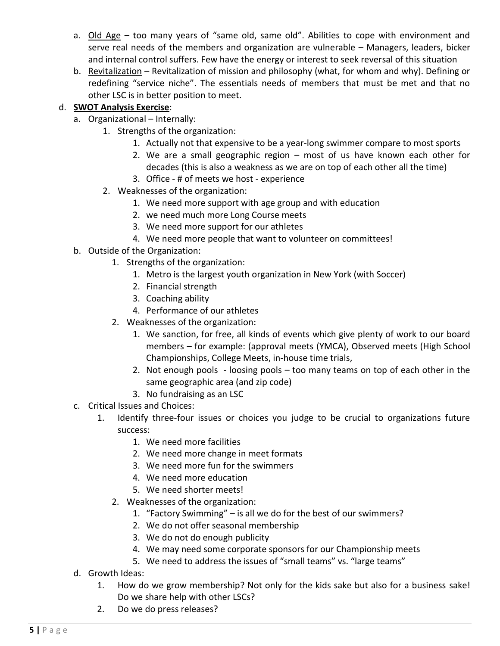- a. Old Age too many years of "same old, same old". Abilities to cope with environment and serve real needs of the members and organization are vulnerable – Managers, leaders, bicker and internal control suffers. Few have the energy or interest to seek reversal of this situation
- b. Revitalization Revitalization of mission and philosophy (what, for whom and why). Defining or redefining "service niche". The essentials needs of members that must be met and that no other LSC is in better position to meet.

## d. **SWOT Analysis Exercise**:

- a. Organizational Internally:
	- 1. Strengths of the organization:
		- 1. Actually not that expensive to be a year-long swimmer compare to most sports
		- 2. We are a small geographic region most of us have known each other for decades (this is also a weakness as we are on top of each other all the time)
		- 3. Office # of meets we host experience
	- 2. Weaknesses of the organization:
		- 1. We need more support with age group and with education
		- 2. we need much more Long Course meets
		- 3. We need more support for our athletes
		- 4. We need more people that want to volunteer on committees!
- b. Outside of the Organization:
	- 1. Strengths of the organization:
		- 1. Metro is the largest youth organization in New York (with Soccer)
		- 2. Financial strength
		- 3. Coaching ability
		- 4. Performance of our athletes
	- 2. Weaknesses of the organization:
		- 1. We sanction, for free, all kinds of events which give plenty of work to our board members – for example: (approval meets (YMCA), Observed meets (High School Championships, College Meets, in-house time trials,
		- 2. Not enough pools loosing pools too many teams on top of each other in the same geographic area (and zip code)
		- 3. No fundraising as an LSC
- c. Critical Issues and Choices:
	- 1. Identify three-four issues or choices you judge to be crucial to organizations future success:
		- 1. We need more facilities
		- 2. We need more change in meet formats
		- 3. We need more fun for the swimmers
		- 4. We need more education
		- 5. We need shorter meets!
		- 2. Weaknesses of the organization:
			- 1. "Factory Swimming" is all we do for the best of our swimmers?
			- 2. We do not offer seasonal membership
			- 3. We do not do enough publicity
			- 4. We may need some corporate sponsors for our Championship meets
			- 5. We need to address the issues of "small teams" vs. "large teams"
- d. Growth Ideas:
	- 1. How do we grow membership? Not only for the kids sake but also for a business sake! Do we share help with other LSCs?
	- 2. Do we do press releases?